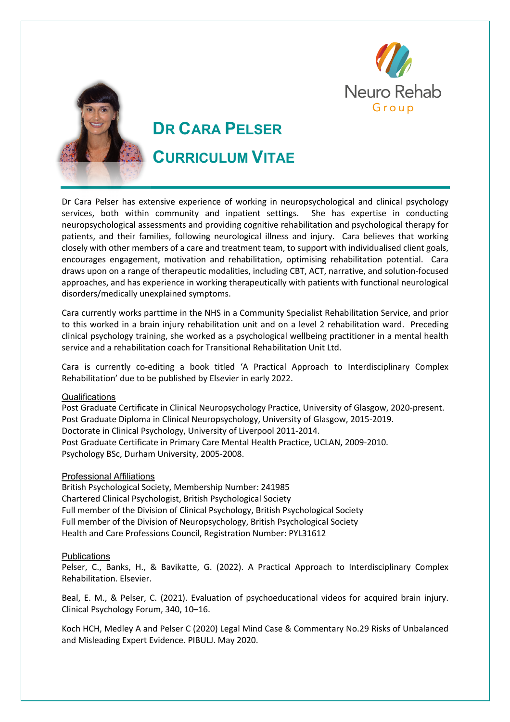



# **DR CARA PELSER**

## **CURRICULUM VITAE**

Dr Cara Pelser has extensive experience of working in neuropsychological and clinical psychology services, both within community and inpatient settings. She has expertise in conducting neuropsychological assessments and providing cognitive rehabilitation and psychological therapy for patients, and their families, following neurological illness and injury. Cara believes that working closely with other members of a care and treatment team, to support with individualised client goals, encourages engagement, motivation and rehabilitation, optimising rehabilitation potential. Cara draws upon on a range of therapeutic modalities, including CBT, ACT, narrative, and solution-focused approaches, and has experience in working therapeutically with patients with functional neurological disorders/medically unexplained symptoms.

Cara currently works parttime in the NHS in a Community Specialist Rehabilitation Service, and prior to this worked in a brain injury rehabilitation unit and on a level 2 rehabilitation ward. Preceding clinical psychology training, she worked as a psychological wellbeing practitioner in a mental health service and a rehabilitation coach for Transitional Rehabilitation Unit Ltd.

Cara is currently co-editing a book titled 'A Practical Approach to Interdisciplinary Complex Rehabilitation' due to be published by Elsevier in early 2022.

### **Qualifications**

Post Graduate Certificate in Clinical Neuropsychology Practice, University of Glasgow, 2020-present. Post Graduate Diploma in Clinical Neuropsychology, University of Glasgow, 2015-2019. Doctorate in Clinical Psychology, University of Liverpool 2011-2014. Post Graduate Certificate in Primary Care Mental Health Practice, UCLAN, 2009-2010. Psychology BSc, Durham University, 2005-2008.

### Professional Affiliations

British Psychological Society, Membership Number: 241985 Chartered Clinical Psychologist, British Psychological Society Full member of the Division of Clinical Psychology, British Psychological Society Full member of the Division of Neuropsychology, British Psychological Society Health and Care Professions Council, Registration Number: PYL31612

#### **Publications**

Pelser, C., Banks, H., & Bavikatte, G. (2022). A Practical Approach to Interdisciplinary Complex Rehabilitation. Elsevier.

Beal, E. M., & Pelser, C. (2021). Evaluation of psychoeducational videos for acquired brain injury. Clinical Psychology Forum, 340, 10–16.

Koch HCH, Medley A and Pelser C (2020) Legal Mind Case & Commentary No.29 Risks of Unbalanced and Misleading Expert Evidence. PIBULJ. May 2020.